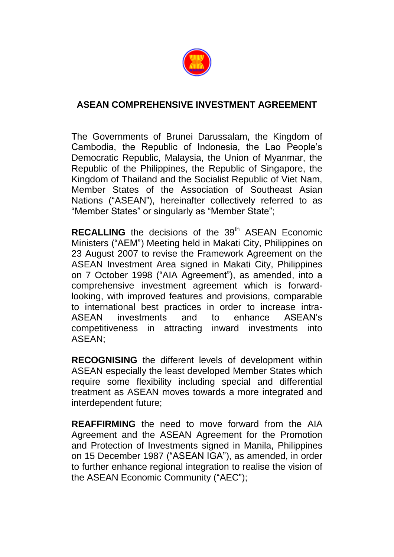

## **ASEAN COMPREHENSIVE INVESTMENT AGREEMENT**

The Governments of Brunei Darussalam, the Kingdom of Cambodia, the Republic of Indonesia, the Lao People's Democratic Republic, Malaysia, the Union of Myanmar, the Republic of the Philippines, the Republic of Singapore, the Kingdom of Thailand and the Socialist Republic of Viet Nam, Member States of the Association of Southeast Asian Nations ("ASEAN"), hereinafter collectively referred to as "Member States" or singularly as "Member State";

**RECALLING** the decisions of the 39<sup>th</sup> ASEAN Economic Ministers ("AEM") Meeting held in Makati City, Philippines on 23 August 2007 to revise the Framework Agreement on the ASEAN Investment Area signed in Makati City, Philippines on 7 October 1998 ("AIA Agreement"), as amended, into a comprehensive investment agreement which is forwardlooking, with improved features and provisions, comparable to international best practices in order to increase intra-ASEAN investments and to enhance ASEAN's competitiveness in attracting inward investments into ASEAN;

**RECOGNISING** the different levels of development within ASEAN especially the least developed Member States which require some flexibility including special and differential treatment as ASEAN moves towards a more integrated and interdependent future;

**REAFFIRMING** the need to move forward from the AIA Agreement and the ASEAN Agreement for the Promotion and Protection of Investments signed in Manila, Philippines on 15 December 1987 ("ASEAN IGA"), as amended, in order to further enhance regional integration to realise the vision of the ASEAN Economic Community ("AEC");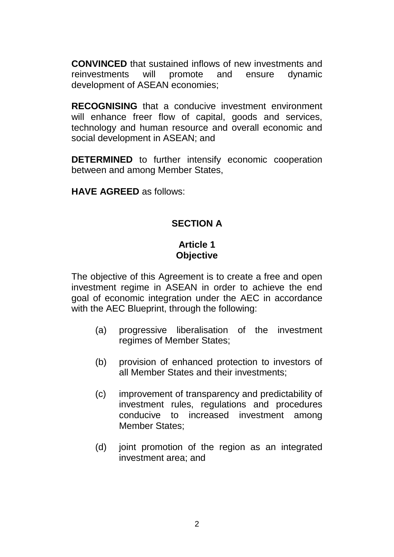**CONVINCED** that sustained inflows of new investments and reinvestments will promote and ensure dynamic development of ASEAN economies;

**RECOGNISING** that a conducive investment environment will enhance freer flow of capital, goods and services, technology and human resource and overall economic and social development in ASEAN; and

**DETERMINED** to further intensify economic cooperation between and among Member States,

**HAVE AGREED** as follows:

## **SECTION A**

## **Article 1 Objective**

The objective of this Agreement is to create a free and open investment regime in ASEAN in order to achieve the end goal of economic integration under the AEC in accordance with the AEC Blueprint, through the following:

- (a) progressive liberalisation of the investment regimes of Member States;
- (b) provision of enhanced protection to investors of all Member States and their investments;
- (c) improvement of transparency and predictability of investment rules, regulations and procedures conducive to increased investment among Member States;
- (d) joint promotion of the region as an integrated investment area; and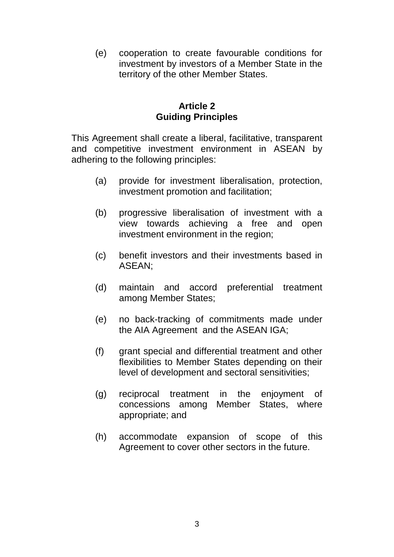(e) cooperation to create favourable conditions for investment by investors of a Member State in the territory of the other Member States.

#### **Article 2 Guiding Principles**

This Agreement shall create a liberal, facilitative, transparent and competitive investment environment in ASEAN by adhering to the following principles:

- (a) provide for investment liberalisation, protection, investment promotion and facilitation;
- (b) progressive liberalisation of investment with a view towards achieving a free and open investment environment in the region;
- (c) benefit investors and their investments based in ASEAN;
- (d) maintain and accord preferential treatment among Member States;
- (e) no back-tracking of commitments made under the AIA Agreement and the ASEAN IGA;
- (f) grant special and differential treatment and other flexibilities to Member States depending on their level of development and sectoral sensitivities;
- (g) reciprocal treatment in the enjoyment of concessions among Member States, where appropriate; and
- (h) accommodate expansion of scope of this Agreement to cover other sectors in the future.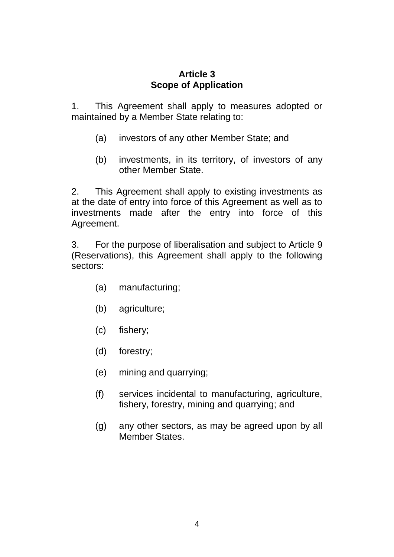## **Article 3 Scope of Application**

1. This Agreement shall apply to measures adopted or maintained by a Member State relating to:

- (a) investors of any other Member State; and
- (b) investments, in its territory, of investors of any other Member State.

2. This Agreement shall apply to existing investments as at the date of entry into force of this Agreement as well as to investments made after the entry into force of this Agreement.

3. For the purpose of liberalisation and subject to Article 9 (Reservations), this Agreement shall apply to the following sectors:

- (a) manufacturing;
- (b) agriculture;
- (c) fishery;
- (d) forestry;
- (e) mining and quarrying;
- (f) services incidental to manufacturing, agriculture, fishery, forestry, mining and quarrying; and
- (g) any other sectors, as may be agreed upon by all Member States.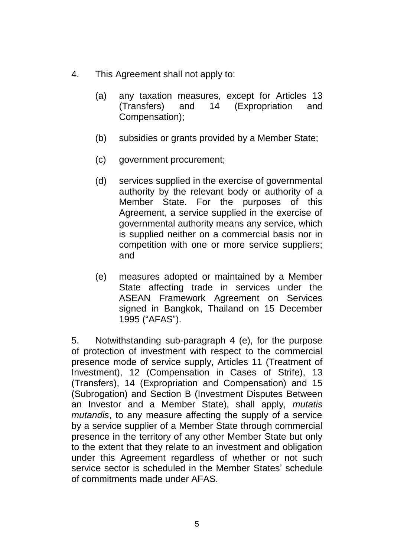- 4. This Agreement shall not apply to:
	- (a) any taxation measures, except for Articles 13 (Transfers) and 14 (Expropriation and Compensation);
	- (b) subsidies or grants provided by a Member State;
	- (c) government procurement;
	- (d) services supplied in the exercise of governmental authority by the relevant body or authority of a Member State. For the purposes of this Agreement, a service supplied in the exercise of governmental authority means any service, which is supplied neither on a commercial basis nor in competition with one or more service suppliers; and
	- (e) measures adopted or maintained by a Member State affecting trade in services under the ASEAN Framework Agreement on Services signed in Bangkok, Thailand on 15 December 1995 ("AFAS").

5. Notwithstanding sub-paragraph 4 (e), for the purpose of protection of investment with respect to the commercial presence mode of service supply, Articles 11 (Treatment of Investment), 12 (Compensation in Cases of Strife), 13 (Transfers), 14 (Expropriation and Compensation) and 15 (Subrogation) and Section B (Investment Disputes Between an Investor and a Member State), shall apply, *mutatis mutandis*, to any measure affecting the supply of a service by a service supplier of a Member State through commercial presence in the territory of any other Member State but only to the extent that they relate to an investment and obligation under this Agreement regardless of whether or not such service sector is scheduled in the Member States' schedule of commitments made under AFAS.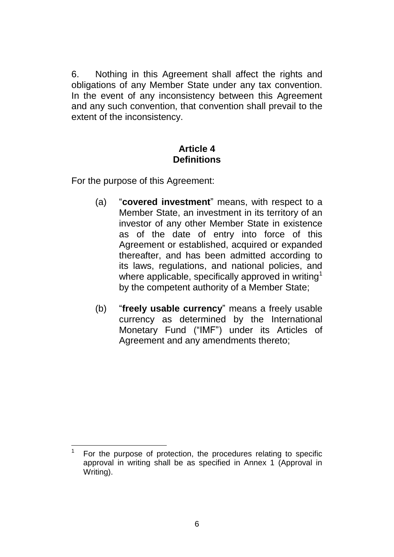6. Nothing in this Agreement shall affect the rights and obligations of any Member State under any tax convention. In the event of any inconsistency between this Agreement and any such convention, that convention shall prevail to the extent of the inconsistency.

#### **Article 4 Definitions**

For the purpose of this Agreement:

- (a) "**covered investment**" means, with respect to a Member State, an investment in its territory of an investor of any other Member State in existence as of the date of entry into force of this Agreement or established, acquired or expanded thereafter, and has been admitted according to its laws, regulations, and national policies, and where applicable, specifically approved in writing<sup>1</sup> by the competent authority of a Member State;
- (b) "**freely usable currency**" means a freely usable currency as determined by the International Monetary Fund ("IMF") under its Articles of Agreement and any amendments thereto;

<sup>&</sup>lt;u>.</u> 1 For the purpose of protection, the procedures relating to specific approval in writing shall be as specified in Annex 1 (Approval in Writing).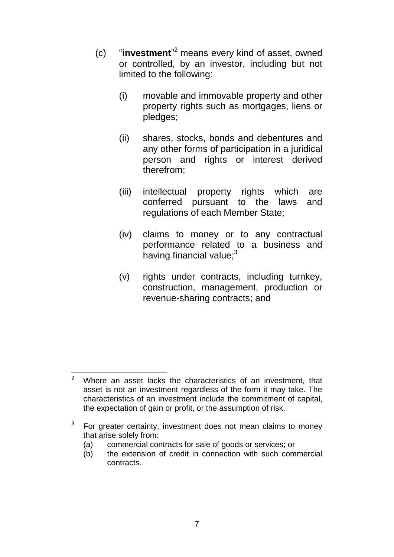- (c) "**investment**" <sup>2</sup> means every kind of asset, owned or controlled, by an investor, including but not limited to the following:
	- (i) movable and immovable property and other property rights such as mortgages, liens or pledges;
	- (ii) shares, stocks, bonds and debentures and any other forms of participation in a juridical person and rights or interest derived therefrom;
	- (iii) intellectual property rights which are conferred pursuant to the laws and regulations of each Member State;
	- (iv) claims to money or to any contractual performance related to a business and having financial value; $3$
	- (v) rights under contracts, including turnkey, construction, management, production or revenue-sharing contracts; and

 $\overline{2}$ Where an asset lacks the characteristics of an investment, that asset is not an investment regardless of the form it may take. The characteristics of an investment include the commitment of capital, the expectation of gain or profit, or the assumption of risk.

<sup>3</sup> For greater certainty, investment does not mean claims to money that arise solely from:

<sup>(</sup>a) commercial contracts for sale of goods or services; or

<sup>(</sup>b) the extension of credit in connection with such commercial contracts.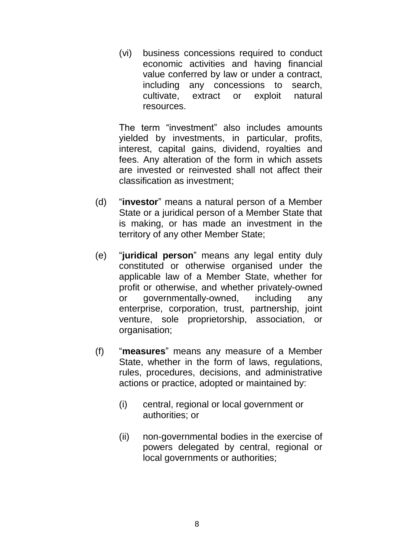(vi) business concessions required to conduct economic activities and having financial value conferred by law or under a contract, including any concessions to search, cultivate, extract or exploit natural resources.

The term "investment" also includes amounts yielded by investments, in particular, profits, interest, capital gains, dividend, royalties and fees. Any alteration of the form in which assets are invested or reinvested shall not affect their classification as investment;

- (d) "**investor**" means a natural person of a Member State or a juridical person of a Member State that is making, or has made an investment in the territory of any other Member State;
- (e) "**juridical person**" means any legal entity duly constituted or otherwise organised under the applicable law of a Member State, whether for profit or otherwise, and whether privately-owned or governmentally-owned, including any enterprise, corporation, trust, partnership, joint venture, sole proprietorship, association, or organisation;
- (f) "**measures**" means any measure of a Member State, whether in the form of laws, regulations, rules, procedures, decisions, and administrative actions or practice, adopted or maintained by:
	- (i) central, regional or local government or authorities; or
	- (ii) non-governmental bodies in the exercise of powers delegated by central, regional or local governments or authorities;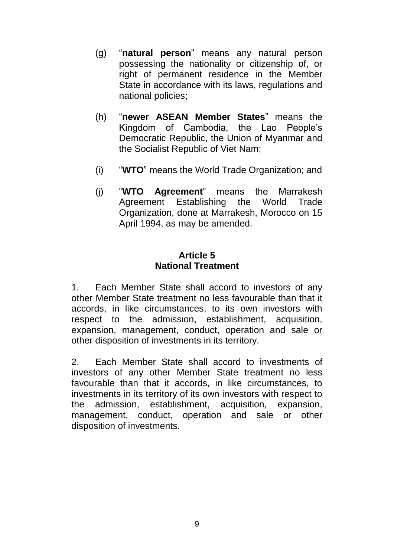- (g) "**natural person**" means any natural person possessing the nationality or citizenship of, or right of permanent residence in the Member State in accordance with its laws, regulations and national policies;
- (h) "**newer ASEAN Member States**" means the Kingdom of Cambodia, the Lao People's Democratic Republic, the Union of Myanmar and the Socialist Republic of Viet Nam;
- (i) "**WTO**" means the World Trade Organization; and
- (j) "**WTO Agreement**" means the Marrakesh Agreement Establishing the World Trade Organization, done at Marrakesh, Morocco on 15 April 1994, as may be amended.

## **Article 5 National Treatment**

1. Each Member State shall accord to investors of any other Member State treatment no less favourable than that it accords, in like circumstances, to its own investors with respect to the admission, establishment, acquisition, expansion, management, conduct, operation and sale or other disposition of investments in its territory.

2. Each Member State shall accord to investments of investors of any other Member State treatment no less favourable than that it accords, in like circumstances, to investments in its territory of its own investors with respect to the admission, establishment, acquisition, expansion, management, conduct, operation and sale or other disposition of investments.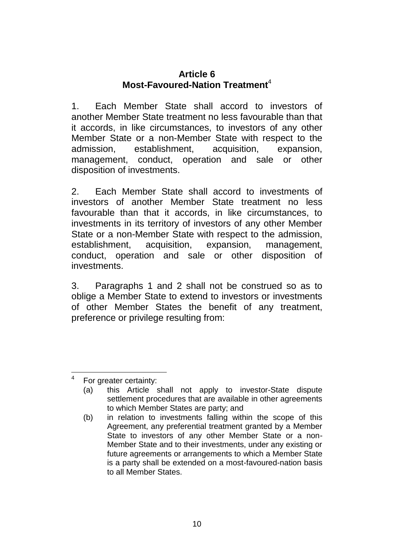#### **Article 6 Most-Favoured-Nation Treatment**<sup>4</sup>

1. Each Member State shall accord to investors of another Member State treatment no less favourable than that it accords, in like circumstances, to investors of any other Member State or a non-Member State with respect to the admission, establishment, acquisition, expansion, management, conduct, operation and sale or other disposition of investments.

2. Each Member State shall accord to investments of investors of another Member State treatment no less favourable than that it accords, in like circumstances, to investments in its territory of investors of any other Member State or a non-Member State with respect to the admission, establishment, acquisition, expansion, management, conduct, operation and sale or other disposition of investments.

3. Paragraphs 1 and 2 shall not be construed so as to oblige a Member State to extend to investors or investments of other Member States the benefit of any treatment, preference or privilege resulting from:

 $\frac{1}{4}$ For greater certainty:

<sup>(</sup>a) this Article shall not apply to investor-State dispute settlement procedures that are available in other agreements to which Member States are party; and

<sup>(</sup>b) in relation to investments falling within the scope of this Agreement, any preferential treatment granted by a Member State to investors of any other Member State or a non-Member State and to their investments, under any existing or future agreements or arrangements to which a Member State is a party shall be extended on a most-favoured-nation basis to all Member States.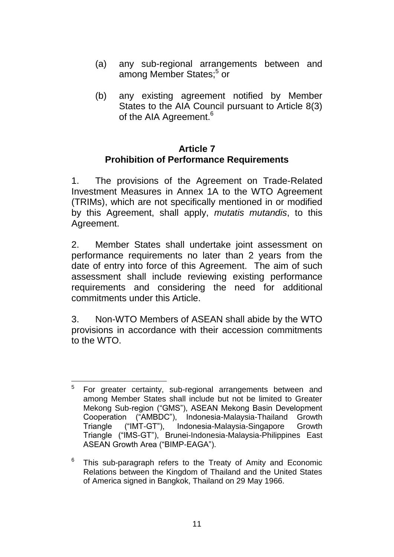- (a) any sub-regional arrangements between and among Member States;<sup>5</sup> or
- (b) any existing agreement notified by Member States to the AIA Council pursuant to Article 8(3) of the AIA Agreement.<sup>6</sup>

#### **Article 7 Prohibition of Performance Requirements**

1. The provisions of the Agreement on Trade-Related Investment Measures in Annex 1A to the WTO Agreement (TRIMs), which are not specifically mentioned in or modified by this Agreement, shall apply, *mutatis mutandis*, to this Agreement.

2. Member States shall undertake joint assessment on performance requirements no later than 2 years from the date of entry into force of this Agreement. The aim of such assessment shall include reviewing existing performance requirements and considering the need for additional commitments under this Article.

3. Non-WTO Members of ASEAN shall abide by the WTO provisions in accordance with their accession commitments to the WTO.

 $\frac{1}{5}$ For greater certainty, sub-regional arrangements between and among Member States shall include but not be limited to Greater Mekong Sub-region ("GMS"), ASEAN Mekong Basin Development Cooperation ("AMBDC"), Indonesia-Malaysia-Thailand Growth<br>Triangle ("IMT-GT"), Indonesia-Malaysia-Singapore Growth Triangle ("IMT-GT"), Indonesia-Malaysia-Singapore Growth Triangle ("IMS-GT"), Brunei-Indonesia-Malaysia-Philippines East ASEAN Growth Area ("BIMP-EAGA").

<sup>6</sup> This sub-paragraph refers to the Treaty of Amity and Economic Relations between the Kingdom of Thailand and the United States of America signed in Bangkok, Thailand on 29 May 1966.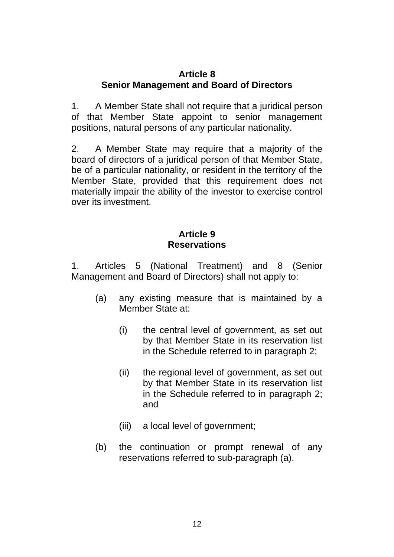## **Article 8 Senior Management and Board of Directors**

1. A Member State shall not require that a juridical person of that Member State appoint to senior management positions, natural persons of any particular nationality.

2. A Member State may require that a majority of the board of directors of a juridical person of that Member State, be of a particular nationality, or resident in the territory of the Member State, provided that this requirement does not materially impair the ability of the investor to exercise control over its investment.

## **Article 9 Reservations**

1. Articles 5 (National Treatment) and 8 (Senior Management and Board of Directors) shall not apply to:

- (a) any existing measure that is maintained by a Member State at:
	- (i) the central level of government, as set out by that Member State in its reservation list in the Schedule referred to in paragraph 2;
	- (ii) the regional level of government, as set out by that Member State in its reservation list in the Schedule referred to in paragraph 2; and
	- (iii) a local level of government;
- (b) the continuation or prompt renewal of any reservations referred to sub-paragraph (a).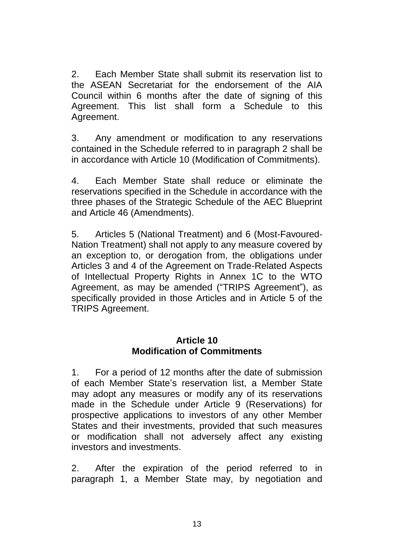2. Each Member State shall submit its reservation list to the ASEAN Secretariat for the endorsement of the AIA Council within 6 months after the date of signing of this Agreement. This list shall form a Schedule to this Agreement.

3. Any amendment or modification to any reservations contained in the Schedule referred to in paragraph 2 shall be in accordance with Article 10 (Modification of Commitments).

4. Each Member State shall reduce or eliminate the reservations specified in the Schedule in accordance with the three phases of the Strategic Schedule of the AEC Blueprint and Article 46 (Amendments).

5. Articles 5 (National Treatment) and 6 (Most-Favoured-Nation Treatment) shall not apply to any measure covered by an exception to, or derogation from, the obligations under Articles 3 and 4 of the Agreement on Trade-Related Aspects of Intellectual Property Rights in Annex 1C to the WTO Agreement, as may be amended ("TRIPS Agreement"), as specifically provided in those Articles and in Article 5 of the TRIPS Agreement.

#### **Article 10 Modification of Commitments**

1. For a period of 12 months after the date of submission of each Member State's reservation list, a Member State may adopt any measures or modify any of its reservations made in the Schedule under Article 9 (Reservations) for prospective applications to investors of any other Member States and their investments, provided that such measures or modification shall not adversely affect any existing investors and investments.

2. After the expiration of the period referred to in paragraph 1, a Member State may, by negotiation and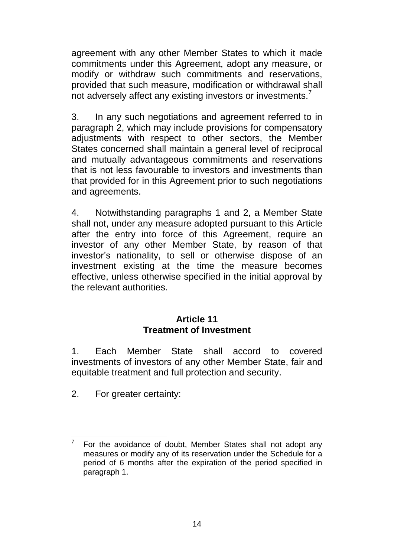agreement with any other Member States to which it made commitments under this Agreement, adopt any measure, or modify or withdraw such commitments and reservations, provided that such measure, modification or withdrawal shall not adversely affect any existing investors or investments.<sup>7</sup>

3. In any such negotiations and agreement referred to in paragraph 2, which may include provisions for compensatory adjustments with respect to other sectors, the Member States concerned shall maintain a general level of reciprocal and mutually advantageous commitments and reservations that is not less favourable to investors and investments than that provided for in this Agreement prior to such negotiations and agreements.

4. Notwithstanding paragraphs 1 and 2, a Member State shall not, under any measure adopted pursuant to this Article after the entry into force of this Agreement, require an investor of any other Member State, by reason of that investor's nationality, to sell or otherwise dispose of an investment existing at the time the measure becomes effective, unless otherwise specified in the initial approval by the relevant authorities.

#### **Article 11 Treatment of Investment**

1. Each Member State shall accord to covered investments of investors of any other Member State, fair and equitable treatment and full protection and security.

2. For greater certainty:

<sup>—&</sup>lt;br>7 For the avoidance of doubt, Member States shall not adopt any measures or modify any of its reservation under the Schedule for a period of 6 months after the expiration of the period specified in paragraph 1.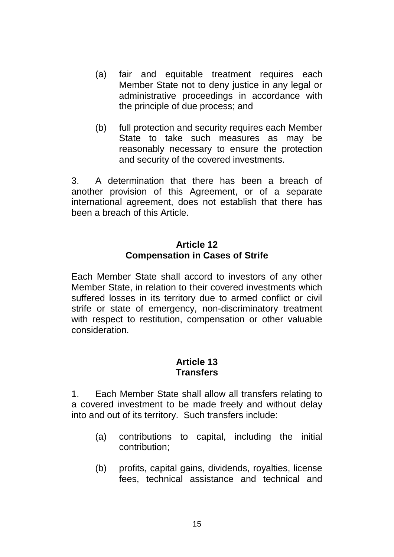- (a) fair and equitable treatment requires each Member State not to deny justice in any legal or administrative proceedings in accordance with the principle of due process; and
- (b) full protection and security requires each Member State to take such measures as may be reasonably necessary to ensure the protection and security of the covered investments.

3. A determination that there has been a breach of another provision of this Agreement, or of a separate international agreement, does not establish that there has been a breach of this Article.

## **Article 12 Compensation in Cases of Strife**

Each Member State shall accord to investors of any other Member State, in relation to their covered investments which suffered losses in its territory due to armed conflict or civil strife or state of emergency, non-discriminatory treatment with respect to restitution, compensation or other valuable consideration.

## **Article 13 Transfers**

1. Each Member State shall allow all transfers relating to a covered investment to be made freely and without delay into and out of its territory. Such transfers include:

- (a) contributions to capital, including the initial contribution;
- (b) profits, capital gains, dividends, royalties, license fees, technical assistance and technical and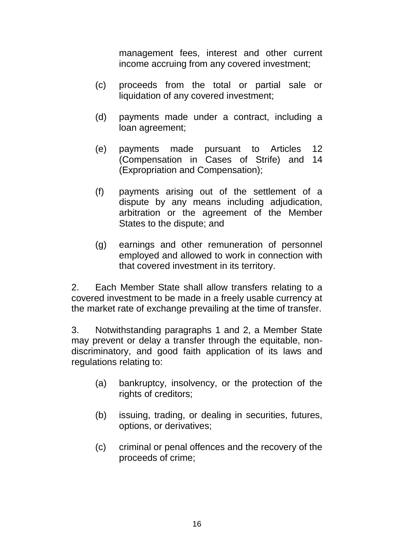management fees, interest and other current income accruing from any covered investment;

- (c) proceeds from the total or partial sale or liquidation of any covered investment;
- (d) payments made under a contract, including a loan agreement;
- (e) payments made pursuant to Articles 12 (Compensation in Cases of Strife) and 14 (Expropriation and Compensation);
- (f) payments arising out of the settlement of a dispute by any means including adjudication, arbitration or the agreement of the Member States to the dispute; and
- (g) earnings and other remuneration of personnel employed and allowed to work in connection with that covered investment in its territory.

2. Each Member State shall allow transfers relating to a covered investment to be made in a freely usable currency at the market rate of exchange prevailing at the time of transfer.

3. Notwithstanding paragraphs 1 and 2, a Member State may prevent or delay a transfer through the equitable, nondiscriminatory, and good faith application of its laws and regulations relating to:

- (a) bankruptcy, insolvency, or the protection of the rights of creditors;
- (b) issuing, trading, or dealing in securities, futures, options, or derivatives;
- (c) criminal or penal offences and the recovery of the proceeds of crime;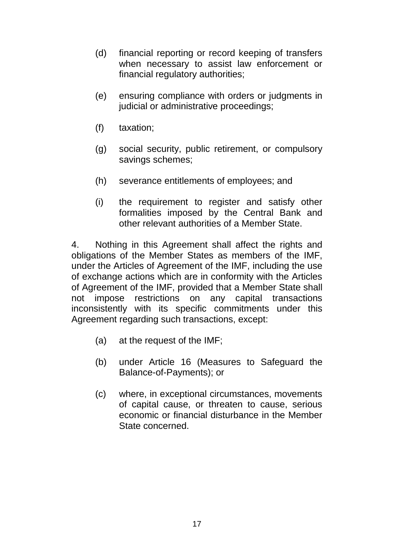- (d) financial reporting or record keeping of transfers when necessary to assist law enforcement or financial regulatory authorities;
- (e) ensuring compliance with orders or judgments in judicial or administrative proceedings;
- (f) taxation;
- (g) social security, public retirement, or compulsory savings schemes;
- (h) severance entitlements of employees; and
- (i) the requirement to register and satisfy other formalities imposed by the Central Bank and other relevant authorities of a Member State.

4. Nothing in this Agreement shall affect the rights and obligations of the Member States as members of the IMF, under the Articles of Agreement of the IMF, including the use of exchange actions which are in conformity with the Articles of Agreement of the IMF, provided that a Member State shall not impose restrictions on any capital transactions inconsistently with its specific commitments under this Agreement regarding such transactions, except:

- (a) at the request of the IMF;
- (b) under Article 16 (Measures to Safeguard the Balance-of-Payments); or
- (c) where, in exceptional circumstances, movements of capital cause, or threaten to cause, serious economic or financial disturbance in the Member State concerned.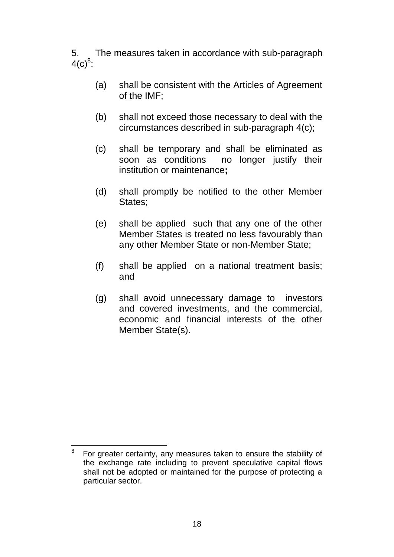5. The measures taken in accordance with sub-paragraph  $4(c)^8$ :

- (a) shall be consistent with the Articles of Agreement of the IMF;
- (b) shall not exceed those necessary to deal with the circumstances described in sub-paragraph 4(c);
- (c) shall be temporary and shall be eliminated as soon as conditions no longer justify their institution or maintenance**;**
- (d) shall promptly be notified to the other Member States;
- (e) shall be applied such that any one of the other Member States is treated no less favourably than any other Member State or non-Member State;
- (f) shall be applied on a national treatment basis; and
- (g) shall avoid unnecessary damage to investors and covered investments, and the commercial, economic and financial interests of the other Member State(s).

 $\frac{1}{8}$  For greater certainty, any measures taken to ensure the stability of the exchange rate including to prevent speculative capital flows shall not be adopted or maintained for the purpose of protecting a particular sector.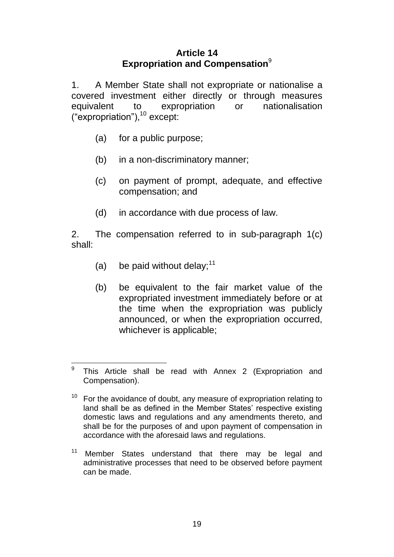## **Article 14 Expropriation and Compensation**<sup>9</sup>

1. A Member State shall not expropriate or nationalise a covered investment either directly or through measures equivalent to expropriation or nationalisation  $("expropiration"),<sup>10</sup> except:$ 

- (a) for a public purpose;
- (b) in a non-discriminatory manner;
- (c) on payment of prompt, adequate, and effective compensation; and
- (d) in accordance with due process of law.

2. The compensation referred to in sub-paragraph 1(c) shall:

- (a) be paid without delay; $11$
- (b) be equivalent to the fair market value of the expropriated investment immediately before or at the time when the expropriation was publicly announced, or when the expropriation occurred, whichever is applicable;

<sup>–&</sup>lt;br>9 This Article shall be read with Annex 2 (Expropriation and Compensation).

For the avoidance of doubt, any measure of expropriation relating to land shall be as defined in the Member States' respective existing domestic laws and regulations and any amendments thereto, and shall be for the purposes of and upon payment of compensation in accordance with the aforesaid laws and regulations.

<sup>&</sup>lt;sup>11</sup> Member States understand that there may be legal and administrative processes that need to be observed before payment can be made.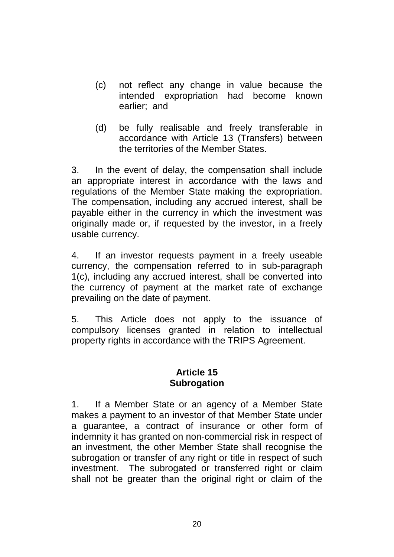- (c) not reflect any change in value because the intended expropriation had become known earlier; and
- (d) be fully realisable and freely transferable in accordance with Article 13 (Transfers) between the territories of the Member States.

3. In the event of delay, the compensation shall include an appropriate interest in accordance with the laws and regulations of the Member State making the expropriation. The compensation, including any accrued interest, shall be payable either in the currency in which the investment was originally made or, if requested by the investor, in a freely usable currency.

4. If an investor requests payment in a freely useable currency, the compensation referred to in sub-paragraph 1(c), including any accrued interest, shall be converted into the currency of payment at the market rate of exchange prevailing on the date of payment.

5. This Article does not apply to the issuance of compulsory licenses granted in relation to intellectual property rights in accordance with the TRIPS Agreement.

## **Article 15 Subrogation**

1. If a Member State or an agency of a Member State makes a payment to an investor of that Member State under a guarantee, a contract of insurance or other form of indemnity it has granted on non-commercial risk in respect of an investment, the other Member State shall recognise the subrogation or transfer of any right or title in respect of such investment. The subrogated or transferred right or claim shall not be greater than the original right or claim of the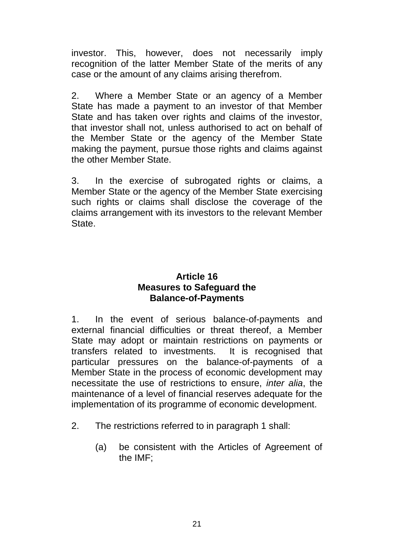investor. This, however, does not necessarily imply recognition of the latter Member State of the merits of any case or the amount of any claims arising therefrom.

2. Where a Member State or an agency of a Member State has made a payment to an investor of that Member State and has taken over rights and claims of the investor, that investor shall not, unless authorised to act on behalf of the Member State or the agency of the Member State making the payment, pursue those rights and claims against the other Member State.

3. In the exercise of subrogated rights or claims, a Member State or the agency of the Member State exercising such rights or claims shall disclose the coverage of the claims arrangement with its investors to the relevant Member State.

#### **Article 16 Measures to Safeguard the Balance-of-Payments**

1. In the event of serious balance-of-payments and external financial difficulties or threat thereof, a Member State may adopt or maintain restrictions on payments or transfers related to investments. It is recognised that particular pressures on the balance-of-payments of a Member State in the process of economic development may necessitate the use of restrictions to ensure, *inter alia*, the maintenance of a level of financial reserves adequate for the implementation of its programme of economic development.

- 2. The restrictions referred to in paragraph 1 shall:
	- (a) be consistent with the Articles of Agreement of the IMF;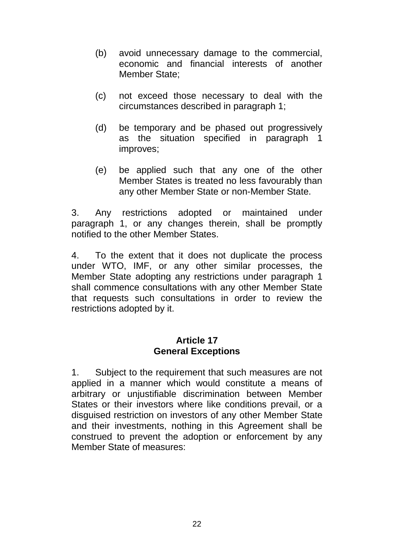- (b) avoid unnecessary damage to the commercial, economic and financial interests of another Member State;
- (c) not exceed those necessary to deal with the circumstances described in paragraph 1;
- (d) be temporary and be phased out progressively as the situation specified in paragraph 1 improves;
- (e) be applied such that any one of the other Member States is treated no less favourably than any other Member State or non-Member State.

3. Any restrictions adopted or maintained under paragraph 1, or any changes therein, shall be promptly notified to the other Member States.

4. To the extent that it does not duplicate the process under WTO, IMF, or any other similar processes, the Member State adopting any restrictions under paragraph 1 shall commence consultations with any other Member State that requests such consultations in order to review the restrictions adopted by it.

#### **Article 17 General Exceptions**

1. Subject to the requirement that such measures are not applied in a manner which would constitute a means of arbitrary or unjustifiable discrimination between Member States or their investors where like conditions prevail, or a disguised restriction on investors of any other Member State and their investments, nothing in this Agreement shall be construed to prevent the adoption or enforcement by any Member State of measures: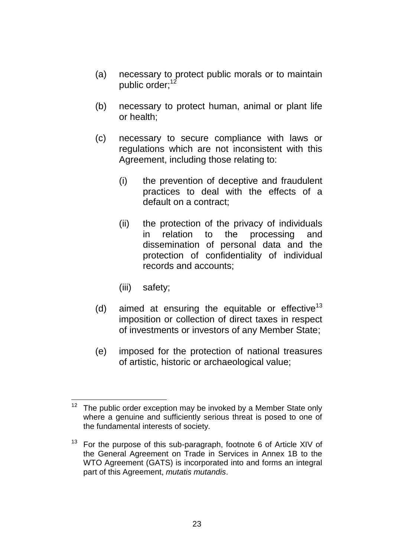- (a) necessary to protect public morals or to maintain public order;<sup>12</sup>
- (b) necessary to protect human, animal or plant life or health;
- (c) necessary to secure compliance with laws or regulations which are not inconsistent with this Agreement, including those relating to:
	- (i) the prevention of deceptive and fraudulent practices to deal with the effects of a default on a contract;
	- (ii) the protection of the privacy of individuals in relation to the processing and dissemination of personal data and the protection of confidentiality of individual records and accounts;
	- (iii) safety;
- (d) aimed at ensuring the equitable or effective<sup>13</sup> imposition or collection of direct taxes in respect of investments or investors of any Member State;
- (e) imposed for the protection of national treasures of artistic, historic or archaeological value;

 $12$ The public order exception may be invoked by a Member State only where a genuine and sufficiently serious threat is posed to one of the fundamental interests of society.

 $13$  For the purpose of this sub-paragraph, footnote 6 of Article XIV of the General Agreement on Trade in Services in Annex 1B to the WTO Agreement (GATS) is incorporated into and forms an integral part of this Agreement, *mutatis mutandis*.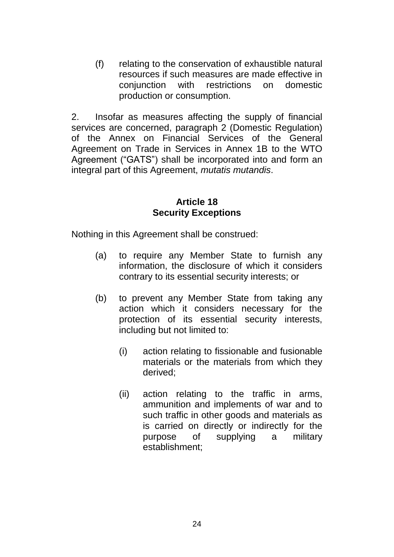(f) relating to the conservation of exhaustible natural resources if such measures are made effective in conjunction with restrictions on domestic production or consumption.

2. Insofar as measures affecting the supply of financial services are concerned, paragraph 2 (Domestic Regulation) of the Annex on Financial Services of the General Agreement on Trade in Services in Annex 1B to the WTO Agreement ("GATS") shall be incorporated into and form an integral part of this Agreement, *mutatis mutandis*.

#### **Article 18 Security Exceptions**

Nothing in this Agreement shall be construed:

- (a) to require any Member State to furnish any information, the disclosure of which it considers contrary to its essential security interests; or
- (b) to prevent any Member State from taking any action which it considers necessary for the protection of its essential security interests, including but not limited to:
	- (i) action relating to fissionable and fusionable materials or the materials from which they derived;
	- (ii) action relating to the traffic in arms, ammunition and implements of war and to such traffic in other goods and materials as is carried on directly or indirectly for the purpose of supplying a military establishment;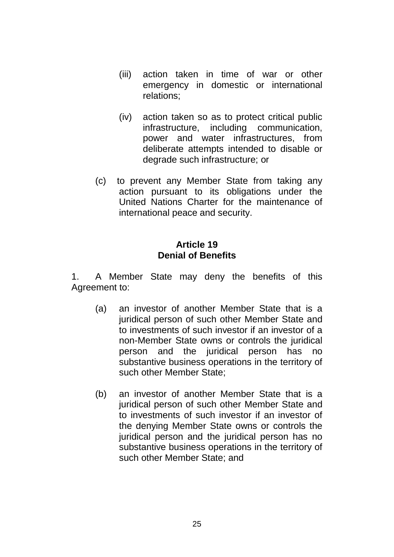- (iii) action taken in time of war or other emergency in domestic or international relations;
- (iv) action taken so as to protect critical public infrastructure, including communication, power and water infrastructures, from deliberate attempts intended to disable or degrade such infrastructure; or
- (c) to prevent any Member State from taking any action pursuant to its obligations under the United Nations Charter for the maintenance of international peace and security.

## **Article 19 Denial of Benefits**

1. A Member State may deny the benefits of this Agreement to:

- (a) an investor of another Member State that is a juridical person of such other Member State and to investments of such investor if an investor of a non-Member State owns or controls the juridical person and the juridical person has no substantive business operations in the territory of such other Member State;
- (b) an investor of another Member State that is a juridical person of such other Member State and to investments of such investor if an investor of the denying Member State owns or controls the juridical person and the juridical person has no substantive business operations in the territory of such other Member State; and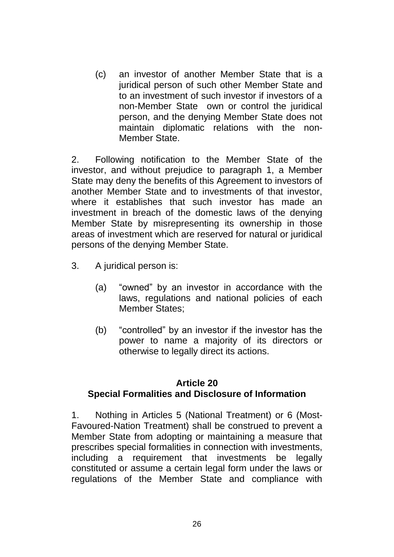(c) an investor of another Member State that is a juridical person of such other Member State and to an investment of such investor if investors of a non-Member State own or control the juridical person, and the denying Member State does not maintain diplomatic relations with the non-Member State.

2. Following notification to the Member State of the investor, and without prejudice to paragraph 1, a Member State may deny the benefits of this Agreement to investors of another Member State and to investments of that investor, where it establishes that such investor has made an investment in breach of the domestic laws of the denying Member State by misrepresenting its ownership in those areas of investment which are reserved for natural or juridical persons of the denying Member State.

- 3. A juridical person is:
	- (a) "owned" by an investor in accordance with the laws, regulations and national policies of each Member States;
	- (b) "controlled" by an investor if the investor has the power to name a majority of its directors or otherwise to legally direct its actions.

#### **Article 20 Special Formalities and Disclosure of Information**

1. Nothing in Articles 5 (National Treatment) or 6 (Most-Favoured-Nation Treatment) shall be construed to prevent a Member State from adopting or maintaining a measure that prescribes special formalities in connection with investments, including a requirement that investments be legally constituted or assume a certain legal form under the laws or regulations of the Member State and compliance with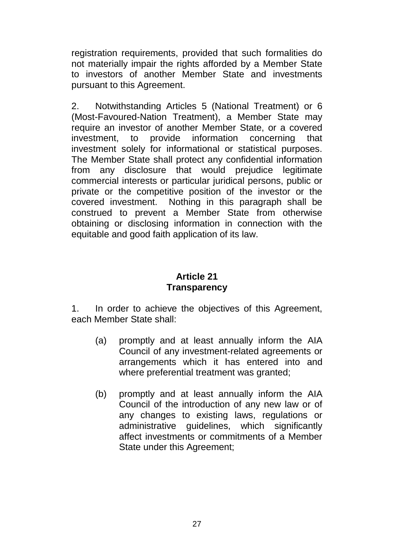registration requirements, provided that such formalities do not materially impair the rights afforded by a Member State to investors of another Member State and investments pursuant to this Agreement.

2. Notwithstanding Articles 5 (National Treatment) or 6 (Most-Favoured-Nation Treatment), a Member State may require an investor of another Member State, or a covered investment, to provide information concerning that investment solely for informational or statistical purposes. The Member State shall protect any confidential information from any disclosure that would prejudice legitimate commercial interests or particular juridical persons, public or private or the competitive position of the investor or the covered investment. Nothing in this paragraph shall be construed to prevent a Member State from otherwise obtaining or disclosing information in connection with the equitable and good faith application of its law.

## **Article 21 Transparency**

1. In order to achieve the objectives of this Agreement, each Member State shall:

- (a) promptly and at least annually inform the AIA Council of any investment-related agreements or arrangements which it has entered into and where preferential treatment was granted;
- (b) promptly and at least annually inform the AIA Council of the introduction of any new law or of any changes to existing laws, regulations or administrative quidelines, which significantly affect investments or commitments of a Member State under this Agreement;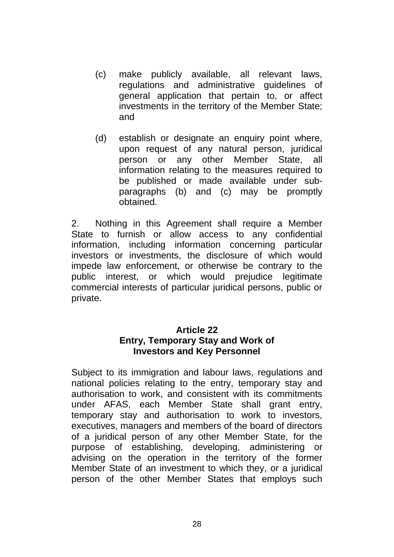- (c) make publicly available, all relevant laws, regulations and administrative guidelines of general application that pertain to, or affect investments in the territory of the Member State; and
- (d) establish or designate an enquiry point where, upon request of any natural person, juridical person or any other Member State, all information relating to the measures required to be published or made available under subparagraphs (b) and (c) may be promptly obtained.

2. Nothing in this Agreement shall require a Member State to furnish or allow access to any confidential information, including information concerning particular investors or investments, the disclosure of which would impede law enforcement, or otherwise be contrary to the public interest, or which would prejudice legitimate commercial interests of particular juridical persons, public or private.

# **Article 22**

#### **Entry, Temporary Stay and Work of Investors and Key Personnel**

Subject to its immigration and labour laws, regulations and national policies relating to the entry, temporary stay and authorisation to work, and consistent with its commitments under AFAS, each Member State shall grant entry, temporary stay and authorisation to work to investors, executives, managers and members of the board of directors of a juridical person of any other Member State, for the purpose of establishing, developing, administering or advising on the operation in the territory of the former Member State of an investment to which they, or a juridical person of the other Member States that employs such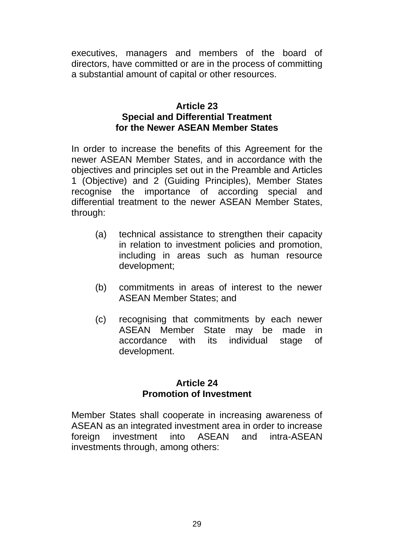executives, managers and members of the board of directors, have committed or are in the process of committing a substantial amount of capital or other resources.

#### **Article 23 Special and Differential Treatment for the Newer ASEAN Member States**

In order to increase the benefits of this Agreement for the newer ASEAN Member States, and in accordance with the objectives and principles set out in the Preamble and Articles 1 (Objective) and 2 (Guiding Principles), Member States recognise the importance of according special and differential treatment to the newer ASEAN Member States, through:

- (a) technical assistance to strengthen their capacity in relation to investment policies and promotion, including in areas such as human resource development;
- (b) commitments in areas of interest to the newer ASEAN Member States; and
- (c) recognising that commitments by each newer ASEAN Member State may be made in accordance with its individual stage of development.

#### **Article 24 Promotion of Investment**

Member States shall cooperate in increasing awareness of ASEAN as an integrated investment area in order to increase foreign investment into ASEAN and intra-ASEAN investments through, among others: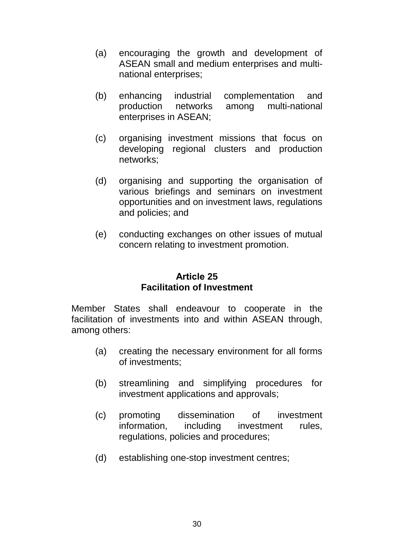- (a) encouraging the growth and development of ASEAN small and medium enterprises and multinational enterprises;
- (b) enhancing industrial complementation and production networks among multi-national enterprises in ASEAN;
- (c) organising investment missions that focus on developing regional clusters and production networks;
- (d) organising and supporting the organisation of various briefings and seminars on investment opportunities and on investment laws, regulations and policies; and
- (e) conducting exchanges on other issues of mutual concern relating to investment promotion.

## **Article 25 Facilitation of Investment**

Member States shall endeavour to cooperate in the facilitation of investments into and within ASEAN through, among others:

- (a) creating the necessary environment for all forms of investments;
- (b) streamlining and simplifying procedures for investment applications and approvals;
- (c) promoting dissemination of investment information, including investment rules, regulations, policies and procedures;
- (d) establishing one-stop investment centres;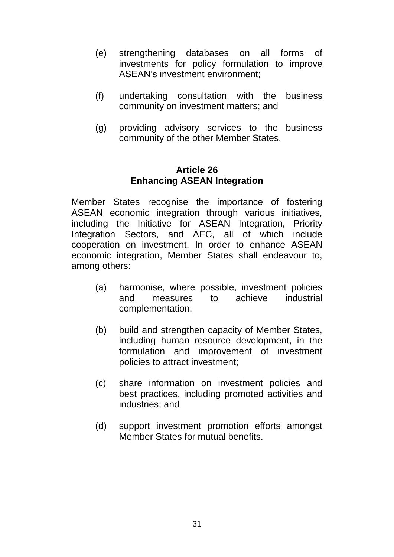- (e) strengthening databases on all forms of investments for policy formulation to improve ASEAN's investment environment;
- (f) undertaking consultation with the business community on investment matters; and
- (g) providing advisory services to the business community of the other Member States.

#### **Article 26 Enhancing ASEAN Integration**

Member States recognise the importance of fostering ASEAN economic integration through various initiatives, including the Initiative for ASEAN Integration, Priority Integration Sectors, and AEC, all of which include cooperation on investment. In order to enhance ASEAN economic integration, Member States shall endeavour to, among others:

- (a) harmonise, where possible, investment policies and measures to achieve industrial complementation;
- (b) build and strengthen capacity of Member States, including human resource development, in the formulation and improvement of investment policies to attract investment;
- (c) share information on investment policies and best practices, including promoted activities and industries; and
- (d) support investment promotion efforts amongst Member States for mutual benefits.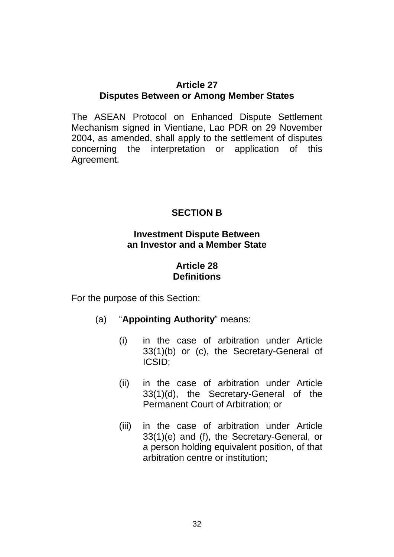#### **Article 27 Disputes Between or Among Member States**

The ASEAN Protocol on Enhanced Dispute Settlement Mechanism signed in Vientiane, Lao PDR on 29 November 2004, as amended, shall apply to the settlement of disputes concerning the interpretation or application of this Agreement.

## **SECTION B**

## **Investment Dispute Between an Investor and a Member State**

## **Article 28 Definitions**

For the purpose of this Section:

## (a) "**Appointing Authority**" means:

- (i) in the case of arbitration under Article 33(1)(b) or (c), the Secretary-General of ICSID;
- (ii) in the case of arbitration under Article 33(1)(d), the Secretary-General of the Permanent Court of Arbitration; or
- (iii) in the case of arbitration under Article 33(1)(e) and (f), the Secretary-General, or a person holding equivalent position, of that arbitration centre or institution;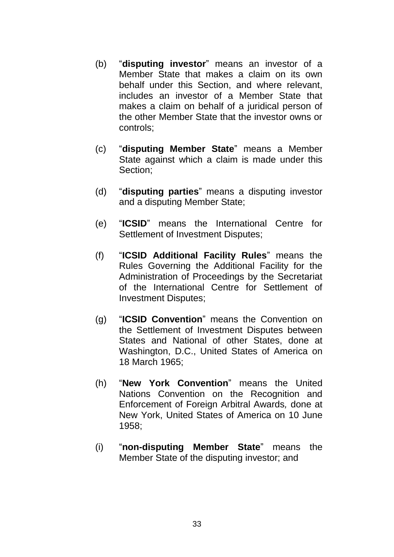- (b) "**disputing investor**" means an investor of a Member State that makes a claim on its own behalf under this Section, and where relevant, includes an investor of a Member State that makes a claim on behalf of a juridical person of the other Member State that the investor owns or controls;
- (c) "**disputing Member State**" means a Member State against which a claim is made under this Section;
- (d) "**disputing parties**" means a disputing investor and a disputing Member State;
- (e) "**ICSID**" means the International Centre for Settlement of Investment Disputes;
- (f) "**ICSID Additional Facility Rules**" means the Rules Governing the Additional Facility for the Administration of Proceedings by the Secretariat of the International Centre for Settlement of Investment Disputes;
- (g) "**ICSID Convention**" means the Convention on the Settlement of Investment Disputes between States and National of other States, done at Washington, D.C., United States of America on 18 March 1965;
- (h) "**New York Convention**" means the United Nations Convention on the Recognition and Enforcement of Foreign Arbitral Awards*,* done at New York, United States of America on 10 June 1958;
- (i) "**non-disputing Member State**" means the Member State of the disputing investor; and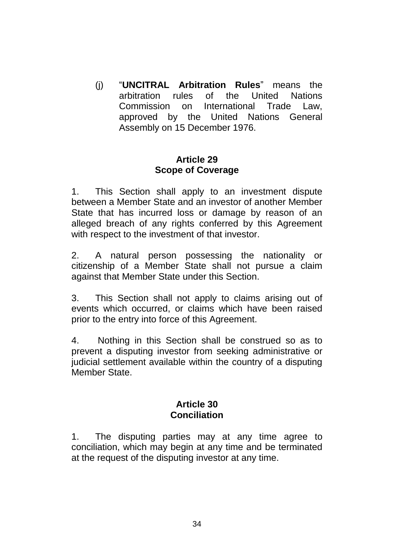(j) "**UNCITRAL Arbitration Rules**" means the arbitration rules of the United Nations Commission on International Trade Law, approved by the United Nations General Assembly on 15 December 1976.

## **Article 29 Scope of Coverage**

1. This Section shall apply to an investment dispute between a Member State and an investor of another Member State that has incurred loss or damage by reason of an alleged breach of any rights conferred by this Agreement with respect to the investment of that investor.

2. A natural person possessing the nationality or citizenship of a Member State shall not pursue a claim against that Member State under this Section.

3. This Section shall not apply to claims arising out of events which occurred, or claims which have been raised prior to the entry into force of this Agreement.

4. Nothing in this Section shall be construed so as to prevent a disputing investor from seeking administrative or judicial settlement available within the country of a disputing Member State.

#### **Article 30 Conciliation**

1. The disputing parties may at any time agree to conciliation, which may begin at any time and be terminated at the request of the disputing investor at any time.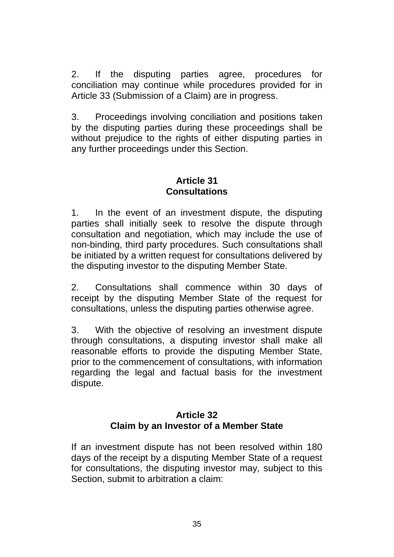2. If the disputing parties agree, procedures for conciliation may continue while procedures provided for in Article 33 (Submission of a Claim) are in progress.

3. Proceedings involving conciliation and positions taken by the disputing parties during these proceedings shall be without prejudice to the rights of either disputing parties in any further proceedings under this Section.

## **Article 31 Consultations**

1. In the event of an investment dispute, the disputing parties shall initially seek to resolve the dispute through consultation and negotiation, which may include the use of non-binding, third party procedures. Such consultations shall be initiated by a written request for consultations delivered by the disputing investor to the disputing Member State.

2. Consultations shall commence within 30 days of receipt by the disputing Member State of the request for consultations, unless the disputing parties otherwise agree.

3. With the objective of resolving an investment dispute through consultations, a disputing investor shall make all reasonable efforts to provide the disputing Member State, prior to the commencement of consultations, with information regarding the legal and factual basis for the investment dispute.

## **Article 32 Claim by an Investor of a Member State**

If an investment dispute has not been resolved within 180 days of the receipt by a disputing Member State of a request for consultations, the disputing investor may, subject to this Section, submit to arbitration a claim: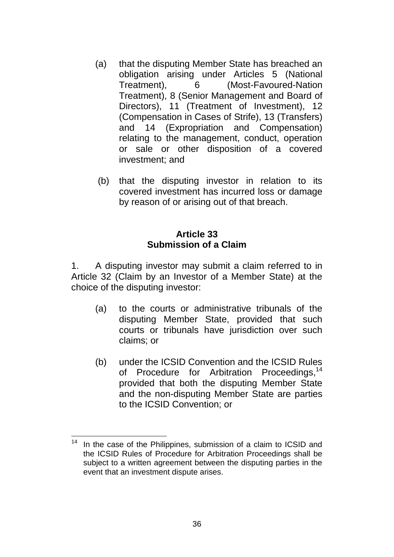- (a) that the disputing Member State has breached an obligation arising under Articles 5 (National Treatment), 6 (Most-Favoured-Nation Treatment), 8 (Senior Management and Board of Directors), 11 (Treatment of Investment), 12 (Compensation in Cases of Strife), 13 (Transfers) and 14 (Expropriation and Compensation) relating to the management, conduct, operation or sale or other disposition of a covered investment; and
- (b) that the disputing investor in relation to its covered investment has incurred loss or damage by reason of or arising out of that breach.

## **Article 33 Submission of a Claim**

1. A disputing investor may submit a claim referred to in Article 32 (Claim by an Investor of a Member State) at the choice of the disputing investor:

- (a) to the courts or administrative tribunals of the disputing Member State, provided that such courts or tribunals have jurisdiction over such claims; or
- (b) under the ICSID Convention and the ICSID Rules of Procedure for Arbitration Proceedings,<sup>14</sup> provided that both the disputing Member State and the non-disputing Member State are parties to the ICSID Convention; or

<sup>1</sup> In the case of the Philippines, submission of a claim to ICSID and the ICSID Rules of Procedure for Arbitration Proceedings shall be subject to a written agreement between the disputing parties in the event that an investment dispute arises.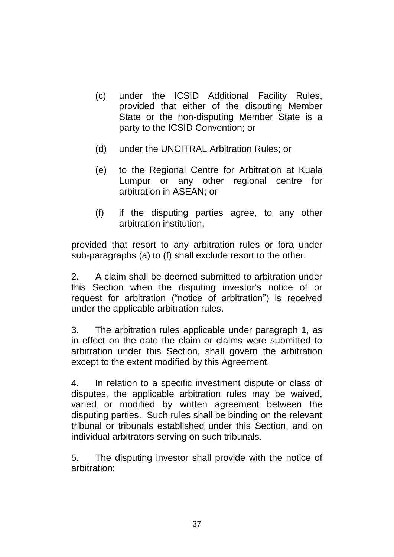- (c) under the ICSID Additional Facility Rules, provided that either of the disputing Member State or the non-disputing Member State is a party to the ICSID Convention; or
- (d) under the UNCITRAL Arbitration Rules; or
- (e) to the Regional Centre for Arbitration at Kuala Lumpur or any other regional centre for arbitration in ASEAN; or
- (f) if the disputing parties agree, to any other arbitration institution,

provided that resort to any arbitration rules or fora under sub-paragraphs (a) to (f) shall exclude resort to the other.

2. A claim shall be deemed submitted to arbitration under this Section when the disputing investor's notice of or request for arbitration ("notice of arbitration") is received under the applicable arbitration rules.

3. The arbitration rules applicable under paragraph 1, as in effect on the date the claim or claims were submitted to arbitration under this Section, shall govern the arbitration except to the extent modified by this Agreement.

4. In relation to a specific investment dispute or class of disputes, the applicable arbitration rules may be waived, varied or modified by written agreement between the disputing parties. Such rules shall be binding on the relevant tribunal or tribunals established under this Section, and on individual arbitrators serving on such tribunals.

5. The disputing investor shall provide with the notice of arbitration: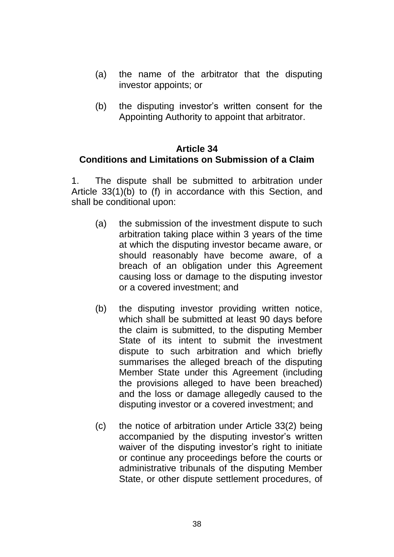- (a) the name of the arbitrator that the disputing investor appoints; or
- (b) the disputing investor's written consent for the Appointing Authority to appoint that arbitrator.

#### **Article 34 Conditions and Limitations on Submission of a Claim**

1. The dispute shall be submitted to arbitration under Article 33(1)(b) to (f) in accordance with this Section, and shall be conditional upon:

- (a) the submission of the investment dispute to such arbitration taking place within 3 years of the time at which the disputing investor became aware, or should reasonably have become aware, of a breach of an obligation under this Agreement causing loss or damage to the disputing investor or a covered investment; and
- (b) the disputing investor providing written notice, which shall be submitted at least 90 days before the claim is submitted, to the disputing Member State of its intent to submit the investment dispute to such arbitration and which briefly summarises the alleged breach of the disputing Member State under this Agreement (including the provisions alleged to have been breached) and the loss or damage allegedly caused to the disputing investor or a covered investment; and
- (c) the notice of arbitration under Article 33(2) being accompanied by the disputing investor's written waiver of the disputing investor's right to initiate or continue any proceedings before the courts or administrative tribunals of the disputing Member State, or other dispute settlement procedures, of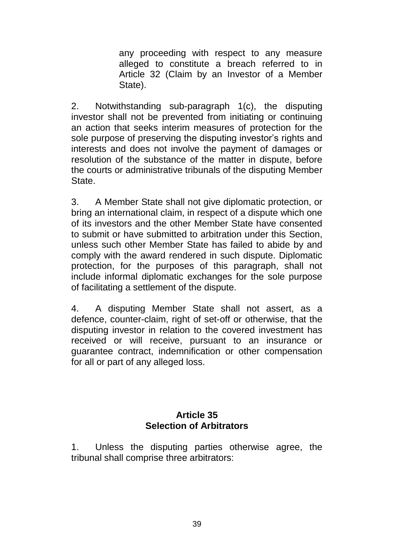any proceeding with respect to any measure alleged to constitute a breach referred to in Article 32 (Claim by an Investor of a Member State).

2. Notwithstanding sub-paragraph 1(c), the disputing investor shall not be prevented from initiating or continuing an action that seeks interim measures of protection for the sole purpose of preserving the disputing investor's rights and interests and does not involve the payment of damages or resolution of the substance of the matter in dispute, before the courts or administrative tribunals of the disputing Member State.

3. A Member State shall not give diplomatic protection, or bring an international claim, in respect of a dispute which one of its investors and the other Member State have consented to submit or have submitted to arbitration under this Section, unless such other Member State has failed to abide by and comply with the award rendered in such dispute. Diplomatic protection, for the purposes of this paragraph, shall not include informal diplomatic exchanges for the sole purpose of facilitating a settlement of the dispute.

4. A disputing Member State shall not assert, as a defence, counter-claim, right of set-off or otherwise, that the disputing investor in relation to the covered investment has received or will receive, pursuant to an insurance or guarantee contract, indemnification or other compensation for all or part of any alleged loss.

## **Article 35 Selection of Arbitrators**

1. Unless the disputing parties otherwise agree, the tribunal shall comprise three arbitrators: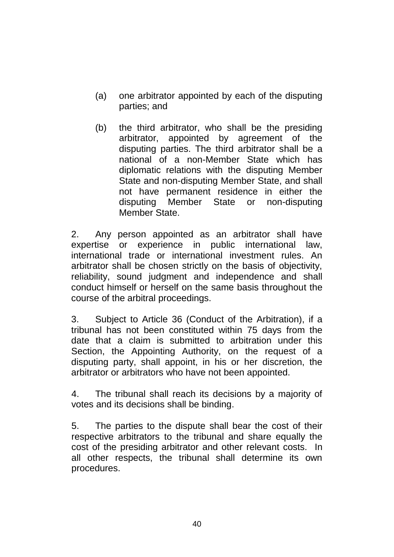- (a) one arbitrator appointed by each of the disputing parties; and
- (b) the third arbitrator, who shall be the presiding arbitrator, appointed by agreement of the disputing parties. The third arbitrator shall be a national of a non-Member State which has diplomatic relations with the disputing Member State and non-disputing Member State, and shall not have permanent residence in either the disputing Member State or non-disputing Member State.

2. Any person appointed as an arbitrator shall have expertise or experience in public international law, international trade or international investment rules. An arbitrator shall be chosen strictly on the basis of objectivity, reliability, sound judgment and independence and shall conduct himself or herself on the same basis throughout the course of the arbitral proceedings.

3. Subject to Article 36 (Conduct of the Arbitration), if a tribunal has not been constituted within 75 days from the date that a claim is submitted to arbitration under this Section, the Appointing Authority, on the request of a disputing party, shall appoint, in his or her discretion, the arbitrator or arbitrators who have not been appointed.

4. The tribunal shall reach its decisions by a majority of votes and its decisions shall be binding.

5. The parties to the dispute shall bear the cost of their respective arbitrators to the tribunal and share equally the cost of the presiding arbitrator and other relevant costs. In all other respects, the tribunal shall determine its own procedures.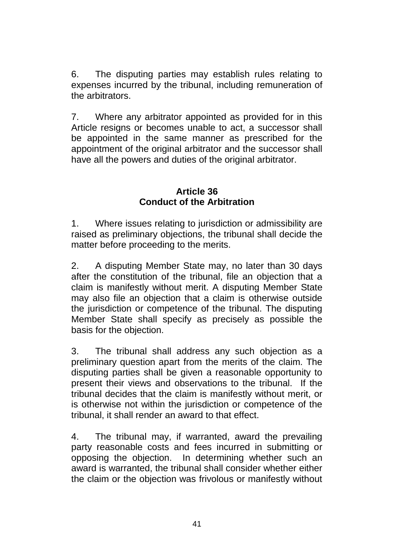6. The disputing parties may establish rules relating to expenses incurred by the tribunal, including remuneration of the arbitrators.

7. Where any arbitrator appointed as provided for in this Article resigns or becomes unable to act, a successor shall be appointed in the same manner as prescribed for the appointment of the original arbitrator and the successor shall have all the powers and duties of the original arbitrator.

## **Article 36 Conduct of the Arbitration**

1. Where issues relating to jurisdiction or admissibility are raised as preliminary objections, the tribunal shall decide the matter before proceeding to the merits.

2. A disputing Member State may, no later than 30 days after the constitution of the tribunal, file an objection that a claim is manifestly without merit. A disputing Member State may also file an objection that a claim is otherwise outside the jurisdiction or competence of the tribunal. The disputing Member State shall specify as precisely as possible the basis for the objection.

3. The tribunal shall address any such objection as a preliminary question apart from the merits of the claim. The disputing parties shall be given a reasonable opportunity to present their views and observations to the tribunal. If the tribunal decides that the claim is manifestly without merit, or is otherwise not within the jurisdiction or competence of the tribunal, it shall render an award to that effect.

4. The tribunal may, if warranted, award the prevailing party reasonable costs and fees incurred in submitting or opposing the objection. In determining whether such an award is warranted, the tribunal shall consider whether either the claim or the objection was frivolous or manifestly without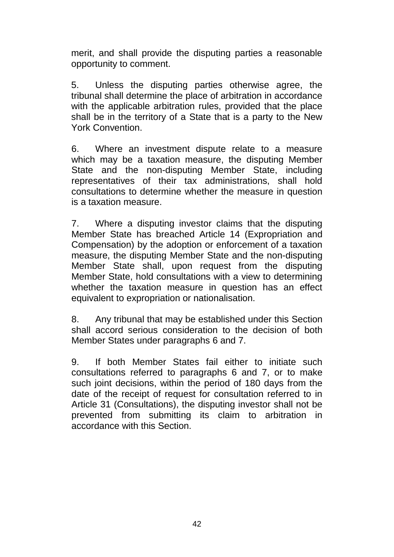merit, and shall provide the disputing parties a reasonable opportunity to comment.

5. Unless the disputing parties otherwise agree, the tribunal shall determine the place of arbitration in accordance with the applicable arbitration rules, provided that the place shall be in the territory of a State that is a party to the New York Convention.

6. Where an investment dispute relate to a measure which may be a taxation measure, the disputing Member State and the non-disputing Member State, including representatives of their tax administrations, shall hold consultations to determine whether the measure in question is a taxation measure.

7. Where a disputing investor claims that the disputing Member State has breached Article 14 (Expropriation and Compensation) by the adoption or enforcement of a taxation measure, the disputing Member State and the non-disputing Member State shall, upon request from the disputing Member State, hold consultations with a view to determining whether the taxation measure in question has an effect equivalent to expropriation or nationalisation.

8. Any tribunal that may be established under this Section shall accord serious consideration to the decision of both Member States under paragraphs 6 and 7.

9. If both Member States fail either to initiate such consultations referred to paragraphs 6 and 7, or to make such joint decisions, within the period of 180 days from the date of the receipt of request for consultation referred to in Article 31 (Consultations), the disputing investor shall not be prevented from submitting its claim to arbitration in accordance with this Section.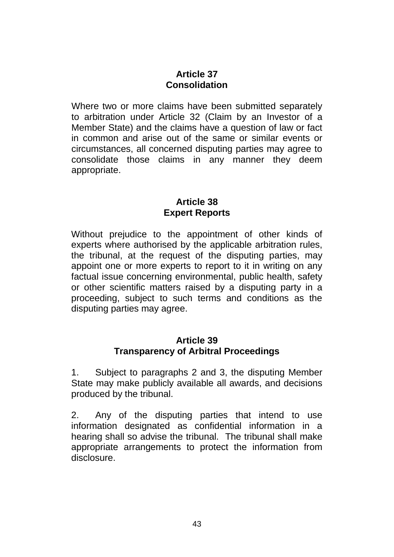## **Article 37 Consolidation**

Where two or more claims have been submitted separately to arbitration under Article 32 (Claim by an Investor of a Member State) and the claims have a question of law or fact in common and arise out of the same or similar events or circumstances, all concerned disputing parties may agree to consolidate those claims in any manner they deem appropriate.

## **Article 38 Expert Reports**

Without prejudice to the appointment of other kinds of experts where authorised by the applicable arbitration rules, the tribunal, at the request of the disputing parties, may appoint one or more experts to report to it in writing on any factual issue concerning environmental, public health, safety or other scientific matters raised by a disputing party in a proceeding, subject to such terms and conditions as the disputing parties may agree.

#### **Article 39 Transparency of Arbitral Proceedings**

1. Subject to paragraphs 2 and 3, the disputing Member State may make publicly available all awards, and decisions produced by the tribunal.

2. Any of the disputing parties that intend to use information designated as confidential information in a hearing shall so advise the tribunal. The tribunal shall make appropriate arrangements to protect the information from disclosure.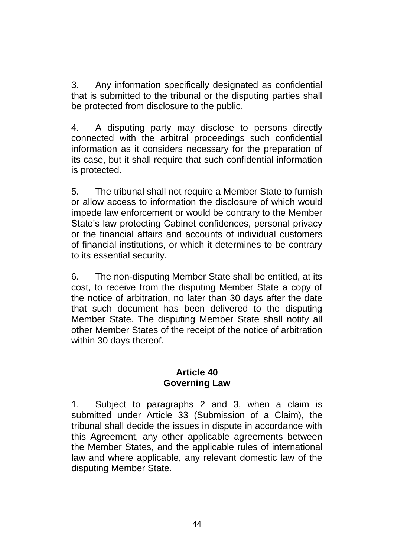3. Any information specifically designated as confidential that is submitted to the tribunal or the disputing parties shall be protected from disclosure to the public.

4. A disputing party may disclose to persons directly connected with the arbitral proceedings such confidential information as it considers necessary for the preparation of its case, but it shall require that such confidential information is protected.

5. The tribunal shall not require a Member State to furnish or allow access to information the disclosure of which would impede law enforcement or would be contrary to the Member State's law protecting Cabinet confidences, personal privacy or the financial affairs and accounts of individual customers of financial institutions, or which it determines to be contrary to its essential security.

6. The non-disputing Member State shall be entitled, at its cost, to receive from the disputing Member State a copy of the notice of arbitration, no later than 30 days after the date that such document has been delivered to the disputing Member State. The disputing Member State shall notify all other Member States of the receipt of the notice of arbitration within 30 days thereof.

#### **Article 40 Governing Law**

1. Subject to paragraphs 2 and 3, when a claim is submitted under Article 33 (Submission of a Claim), the tribunal shall decide the issues in dispute in accordance with this Agreement, any other applicable agreements between the Member States, and the applicable rules of international law and where applicable, any relevant domestic law of the disputing Member State.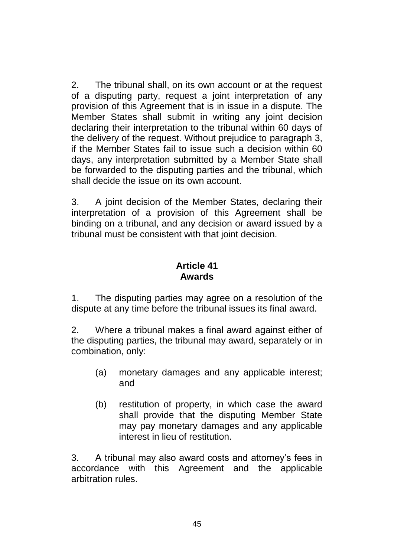2. The tribunal shall, on its own account or at the request of a disputing party, request a joint interpretation of any provision of this Agreement that is in issue in a dispute. The Member States shall submit in writing any joint decision declaring their interpretation to the tribunal within 60 days of the delivery of the request. Without prejudice to paragraph 3, if the Member States fail to issue such a decision within 60 days, any interpretation submitted by a Member State shall be forwarded to the disputing parties and the tribunal, which shall decide the issue on its own account.

3. A joint decision of the Member States, declaring their interpretation of a provision of this Agreement shall be binding on a tribunal, and any decision or award issued by a tribunal must be consistent with that joint decision.

#### **Article 41 Awards**

1. The disputing parties may agree on a resolution of the dispute at any time before the tribunal issues its final award.

2. Where a tribunal makes a final award against either of the disputing parties, the tribunal may award, separately or in combination, only:

- (a) monetary damages and any applicable interest; and
- (b) restitution of property, in which case the award shall provide that the disputing Member State may pay monetary damages and any applicable interest in lieu of restitution.

3. A tribunal may also award costs and attorney's fees in accordance with this Agreement and the applicable arbitration rules.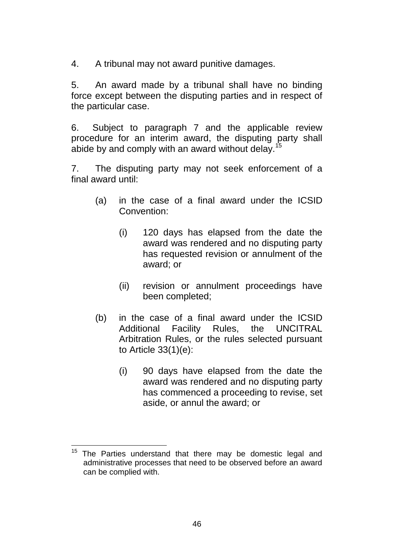4. A tribunal may not award punitive damages.

5. An award made by a tribunal shall have no binding force except between the disputing parties and in respect of the particular case.

6. Subject to paragraph 7 and the applicable review procedure for an interim award, the disputing party shall abide by and comply with an award without delay.<sup>15</sup>

7. The disputing party may not seek enforcement of a final award until:

- (a) in the case of a final award under the ICSID Convention:
	- (i) 120 days has elapsed from the date the award was rendered and no disputing party has requested revision or annulment of the award; or
	- (ii) revision or annulment proceedings have been completed;
- (b) in the case of a final award under the ICSID Additional Facility Rules, the UNCITRAL Arbitration Rules, or the rules selected pursuant to Article 33(1)(e):
	- (i) 90 days have elapsed from the date the award was rendered and no disputing party has commenced a proceeding to revise, set aside, or annul the award; or

 $15$ The Parties understand that there may be domestic legal and administrative processes that need to be observed before an award can be complied with.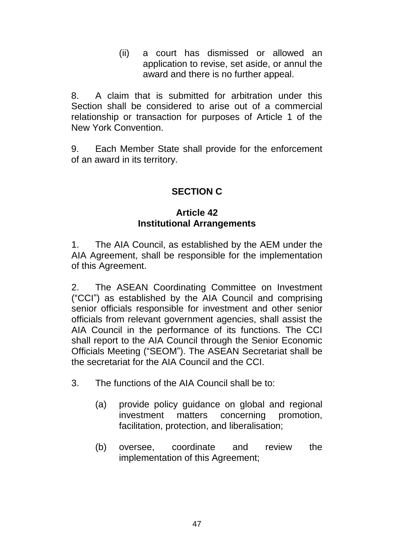(ii) a court has dismissed or allowed an application to revise, set aside, or annul the award and there is no further appeal.

8. A claim that is submitted for arbitration under this Section shall be considered to arise out of a commercial relationship or transaction for purposes of Article 1 of the New York Convention.

9. Each Member State shall provide for the enforcement of an award in its territory.

## **SECTION C**

## **Article 42 Institutional Arrangements**

1. The AIA Council, as established by the AEM under the AIA Agreement, shall be responsible for the implementation of this Agreement.

2. The ASEAN Coordinating Committee on Investment ("CCI") as established by the AIA Council and comprising senior officials responsible for investment and other senior officials from relevant government agencies, shall assist the AIA Council in the performance of its functions. The CCI shall report to the AIA Council through the Senior Economic Officials Meeting ("SEOM"). The ASEAN Secretariat shall be the secretariat for the AIA Council and the CCI.

- 3. The functions of the AIA Council shall be to:
	- (a) provide policy guidance on global and regional investment matters concerning promotion, facilitation, protection, and liberalisation;
	- (b) oversee, coordinate and review the implementation of this Agreement;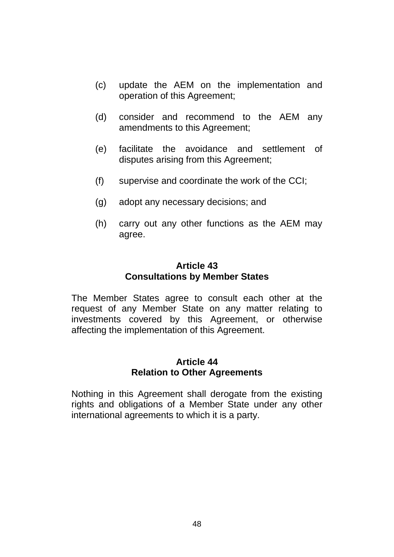- (c) update the AEM on the implementation and operation of this Agreement;
- (d) consider and recommend to the AEM any amendments to this Agreement;
- (e) facilitate the avoidance and settlement of disputes arising from this Agreement;
- (f) supervise and coordinate the work of the CCI;
- (g) adopt any necessary decisions; and
- (h) carry out any other functions as the AEM may agree.

#### **Article 43 Consultations by Member States**

The Member States agree to consult each other at the request of any Member State on any matter relating to investments covered by this Agreement, or otherwise affecting the implementation of this Agreement.

## **Article 44 Relation to Other Agreements**

Nothing in this Agreement shall derogate from the existing rights and obligations of a Member State under any other international agreements to which it is a party.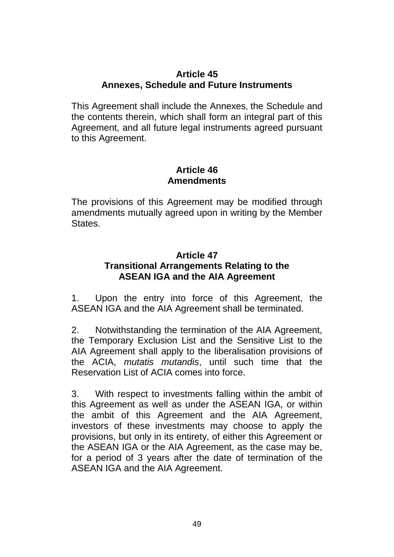## **Article 45 Annexes, Schedule and Future Instruments**

This Agreement shall include the Annexes, the Schedule and the contents therein, which shall form an integral part of this Agreement, and all future legal instruments agreed pursuant to this Agreement.

#### **Article 46 Amendments**

The provisions of this Agreement may be modified through amendments mutually agreed upon in writing by the Member States.

## **Article 47 Transitional Arrangements Relating to the ASEAN IGA and the AIA Agreement**

1. Upon the entry into force of this Agreement, the ASEAN IGA and the AIA Agreement shall be terminated.

2. Notwithstanding the termination of the AIA Agreement, the Temporary Exclusion List and the Sensitive List to the AIA Agreement shall apply to the liberalisation provisions of the ACIA, *mutatis mutandis*, until such time that the Reservation List of ACIA comes into force.

3. With respect to investments falling within the ambit of this Agreement as well as under the ASEAN IGA, or within the ambit of this Agreement and the AIA Agreement, investors of these investments may choose to apply the provisions, but only in its entirety, of either this Agreement or the ASEAN IGA or the AIA Agreement, as the case may be, for a period of 3 years after the date of termination of the ASEAN IGA and the AIA Agreement.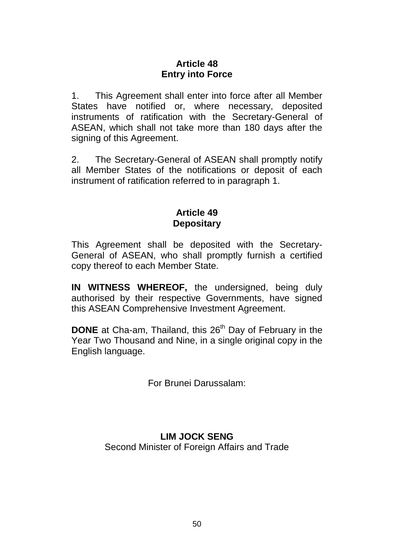## **Article 48 Entry into Force**

1. This Agreement shall enter into force after all Member States have notified or, where necessary, deposited instruments of ratification with the Secretary-General of ASEAN, which shall not take more than 180 days after the signing of this Agreement.

2. The Secretary-General of ASEAN shall promptly notify all Member States of the notifications or deposit of each instrument of ratification referred to in paragraph 1.

## **Article 49 Depositary**

This Agreement shall be deposited with the Secretary-General of ASEAN, who shall promptly furnish a certified copy thereof to each Member State.

**IN WITNESS WHEREOF,** the undersigned, being duly authorised by their respective Governments, have signed this ASEAN Comprehensive Investment Agreement.

**DONE** at Cha-am, Thailand, this 26<sup>th</sup> Day of February in the Year Two Thousand and Nine, in a single original copy in the English language.

For Brunei Darussalam:

## **LIM JOCK SENG** Second Minister of Foreign Affairs and Trade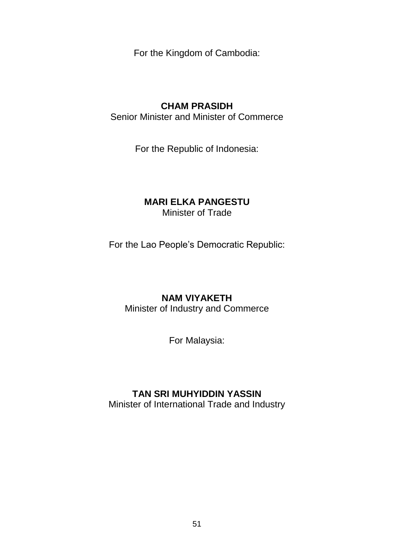For the Kingdom of Cambodia:

## **CHAM PRASIDH**

Senior Minister and Minister of Commerce

For the Republic of Indonesia:

#### **MARI ELKA PANGESTU** Minister of Trade

For the Lao People's Democratic Republic:

## **NAM VIYAKETH**

Minister of Industry and Commerce

For Malaysia:

## **TAN SRI MUHYIDDIN YASSIN**

Minister of International Trade and Industry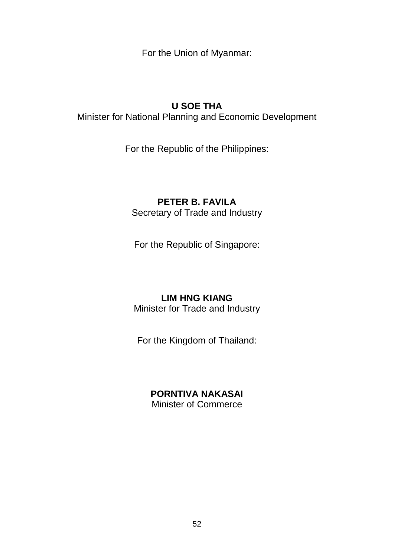For the Union of Myanmar:

## **U SOE THA**

Minister for National Planning and Economic Development

For the Republic of the Philippines:

## **PETER B. FAVILA**

Secretary of Trade and Industry

For the Republic of Singapore:

## **LIM HNG KIANG**

Minister for Trade and Industry

For the Kingdom of Thailand:

## **PORNTIVA NAKASAI**

Minister of Commerce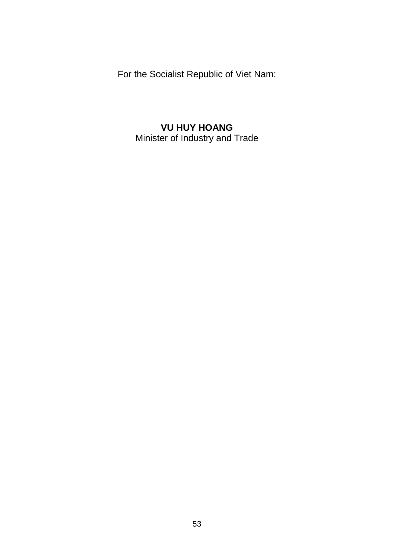For the Socialist Republic of Viet Nam:

## **VU HUY HOANG** Minister of Industry and Trade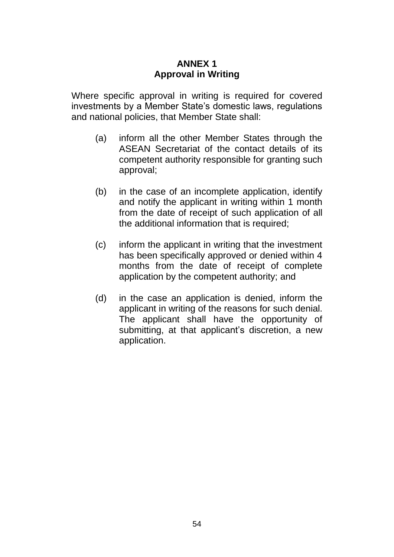## **ANNEX 1 Approval in Writing**

Where specific approval in writing is required for covered investments by a Member State's domestic laws, regulations and national policies, that Member State shall:

- (a) inform all the other Member States through the ASEAN Secretariat of the contact details of its competent authority responsible for granting such approval;
- (b) in the case of an incomplete application, identify and notify the applicant in writing within 1 month from the date of receipt of such application of all the additional information that is required;
- (c) inform the applicant in writing that the investment has been specifically approved or denied within 4 months from the date of receipt of complete application by the competent authority; and
- (d) in the case an application is denied, inform the applicant in writing of the reasons for such denial. The applicant shall have the opportunity of submitting, at that applicant's discretion, a new application.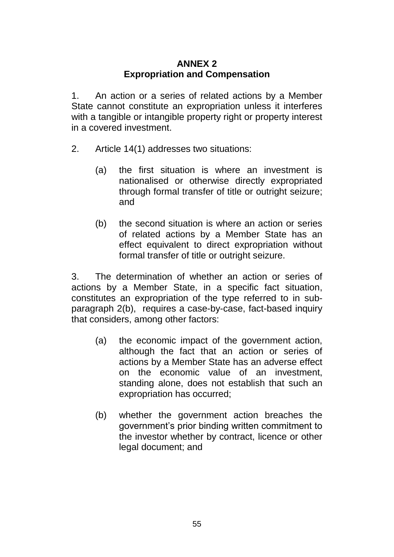## **ANNEX 2 Expropriation and Compensation**

1. An action or a series of related actions by a Member State cannot constitute an expropriation unless it interferes with a tangible or intangible property right or property interest in a covered investment.

- 2. Article 14(1) addresses two situations:
	- (a) the first situation is where an investment is nationalised or otherwise directly expropriated through formal transfer of title or outright seizure; and
	- (b) the second situation is where an action or series of related actions by a Member State has an effect equivalent to direct expropriation without formal transfer of title or outright seizure.

3. The determination of whether an action or series of actions by a Member State, in a specific fact situation, constitutes an expropriation of the type referred to in subparagraph 2(b), requires a case-by-case, fact-based inquiry that considers, among other factors:

- (a) the economic impact of the government action, although the fact that an action or series of actions by a Member State has an adverse effect on the economic value of an investment, standing alone, does not establish that such an expropriation has occurred;
- (b) whether the government action breaches the government's prior binding written commitment to the investor whether by contract, licence or other legal document; and